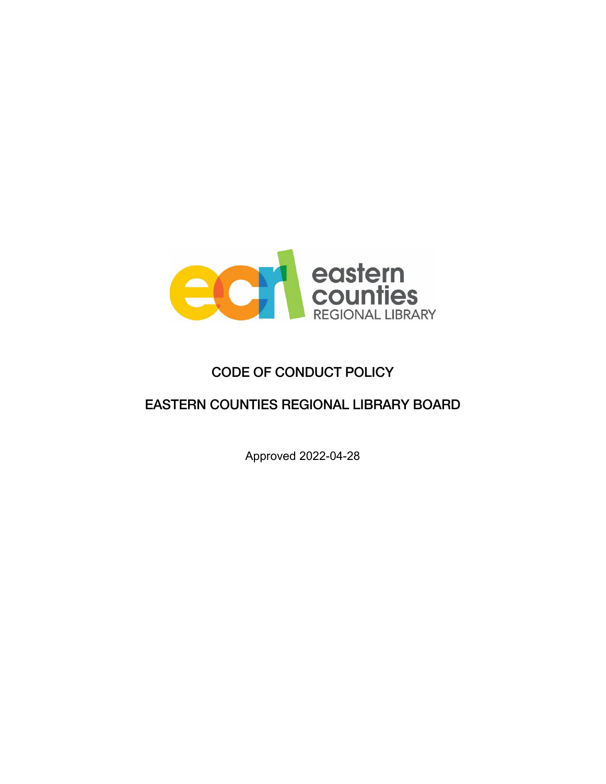

# CODE OF CONDUCT POLICY

## EASTERN COUNTIES REGIONAL LIBRARY BOARD

Approved 2022-04-28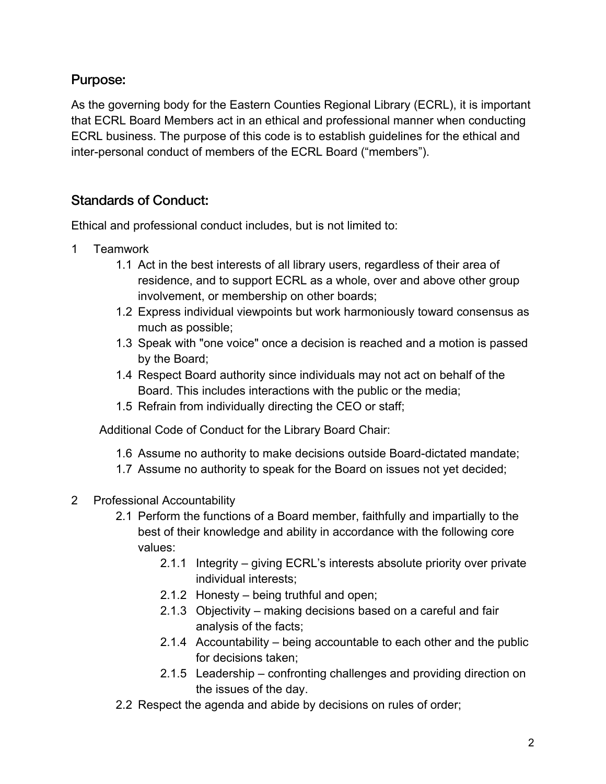## Purpose:

As the governing body for the Eastern Counties Regional Library (ECRL), it is important that ECRL Board Members act in an ethical and professional manner when conducting ECRL business. The purpose of this code is to establish guidelines for the ethical and inter-personal conduct of members of the ECRL Board ("members").

## Standards of Conduct:

Ethical and professional conduct includes, but is not limited to:

- 1 Teamwork
	- 1.1 Act in the best interests of all library users, regardless of their area of residence, and to support ECRL as a whole, over and above other group involvement, or membership on other boards;
	- 1.2 Express individual viewpoints but work harmoniously toward consensus as much as possible;
	- 1.3 Speak with "one voice" once a decision is reached and a motion is passed by the Board;
	- 1.4 Respect Board authority since individuals may not act on behalf of the Board. This includes interactions with the public or the media;
	- 1.5 Refrain from individually directing the CEO or staff;

Additional Code of Conduct for the Library Board Chair:

- 1.6 Assume no authority to make decisions outside Board-dictated mandate;
- 1.7 Assume no authority to speak for the Board on issues not yet decided;
- 2 Professional Accountability
	- 2.1 Perform the functions of a Board member, faithfully and impartially to the best of their knowledge and ability in accordance with the following core values:
		- 2.1.1 Integrity giving ECRL's interests absolute priority over private individual interests;
		- 2.1.2 Honesty being truthful and open;
		- 2.1.3 Objectivity making decisions based on a careful and fair analysis of the facts;
		- 2.1.4 Accountability being accountable to each other and the public for decisions taken;
		- 2.1.5 Leadership confronting challenges and providing direction on the issues of the day.
	- 2.2 Respect the agenda and abide by decisions on rules of order;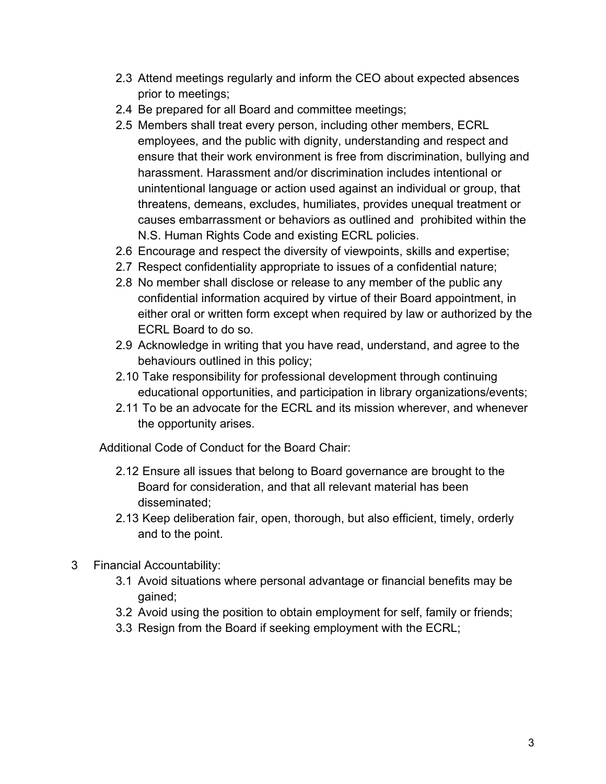- 2.3 Attend meetings regularly and inform the CEO about expected absences prior to meetings;
- 2.4 Be prepared for all Board and committee meetings;
- 2.5 Members shall treat every person, including other members, ECRL employees, and the public with dignity, understanding and respect and ensure that their work environment is free from discrimination, bullying and harassment. Harassment and/or discrimination includes intentional or unintentional language or action used against an individual or group, that threatens, demeans, excludes, humiliates, provides unequal treatment or causes embarrassment or behaviors as outlined and prohibited within the N.S. Human Rights Code and existing ECRL policies.
- 2.6 Encourage and respect the diversity of viewpoints, skills and expertise;
- 2.7 Respect confidentiality appropriate to issues of a confidential nature;
- 2.8 No member shall disclose or release to any member of the public any confidential information acquired by virtue of their Board appointment, in either oral or written form except when required by law or authorized by the ECRL Board to do so.
- 2.9 Acknowledge in writing that you have read, understand, and agree to the behaviours outlined in this policy;
- 2.10 Take responsibility for professional development through continuing educational opportunities, and participation in library organizations/events;
- 2.11 To be an advocate for the ECRL and its mission wherever, and whenever the opportunity arises.

Additional Code of Conduct for the Board Chair:

- 2.12 Ensure all issues that belong to Board governance are brought to the Board for consideration, and that all relevant material has been disseminated;
- 2.13 Keep deliberation fair, open, thorough, but also efficient, timely, orderly and to the point.
- 3 Financial Accountability:
	- 3.1 Avoid situations where personal advantage or financial benefits may be gained;
	- 3.2 Avoid using the position to obtain employment for self, family or friends;
	- 3.3 Resign from the Board if seeking employment with the ECRL;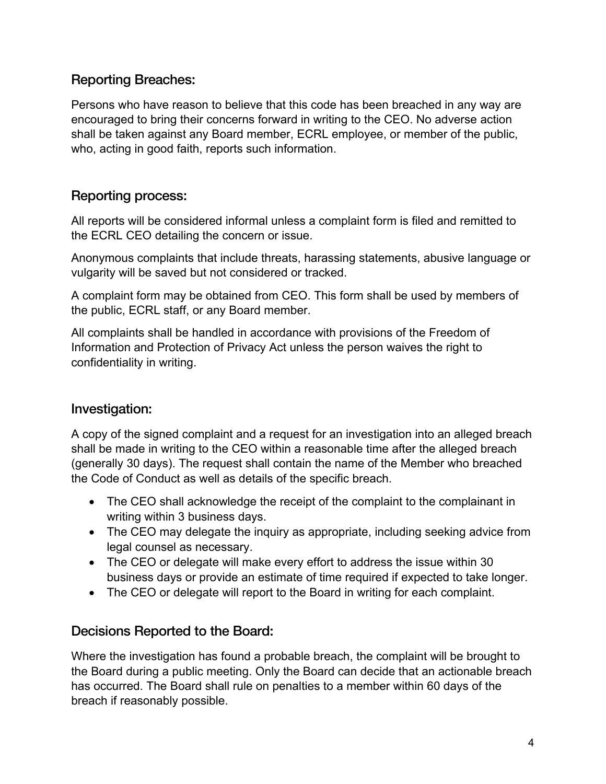### Reporting Breaches:

Persons who have reason to believe that this code has been breached in any way are encouraged to bring their concerns forward in writing to the CEO. No adverse action shall be taken against any Board member, ECRL employee, or member of the public, who, acting in good faith, reports such information.

#### Reporting process:

All reports will be considered informal unless a complaint form is filed and remitted to the ECRL CEO detailing the concern or issue.

Anonymous complaints that include threats, harassing statements, abusive language or vulgarity will be saved but not considered or tracked.

A complaint form may be obtained from CEO. This form shall be used by members of the public, ECRL staff, or any Board member.

All complaints shall be handled in accordance with provisions of the Freedom of Information and Protection of Privacy Act unless the person waives the right to confidentiality in writing.

#### Investigation:

A copy of the signed complaint and a request for an investigation into an alleged breach shall be made in writing to the CEO within a reasonable time after the alleged breach (generally 30 days). The request shall contain the name of the Member who breached the Code of Conduct as well as details of the specific breach.

- The CEO shall acknowledge the receipt of the complaint to the complainant in writing within 3 business days.
- The CEO may delegate the inquiry as appropriate, including seeking advice from legal counsel as necessary.
- The CEO or delegate will make every effort to address the issue within 30 business days or provide an estimate of time required if expected to take longer.
- The CEO or delegate will report to the Board in writing for each complaint.

#### Decisions Reported to the Board:

Where the investigation has found a probable breach, the complaint will be brought to the Board during a public meeting. Only the Board can decide that an actionable breach has occurred. The Board shall rule on penalties to a member within 60 days of the breach if reasonably possible.